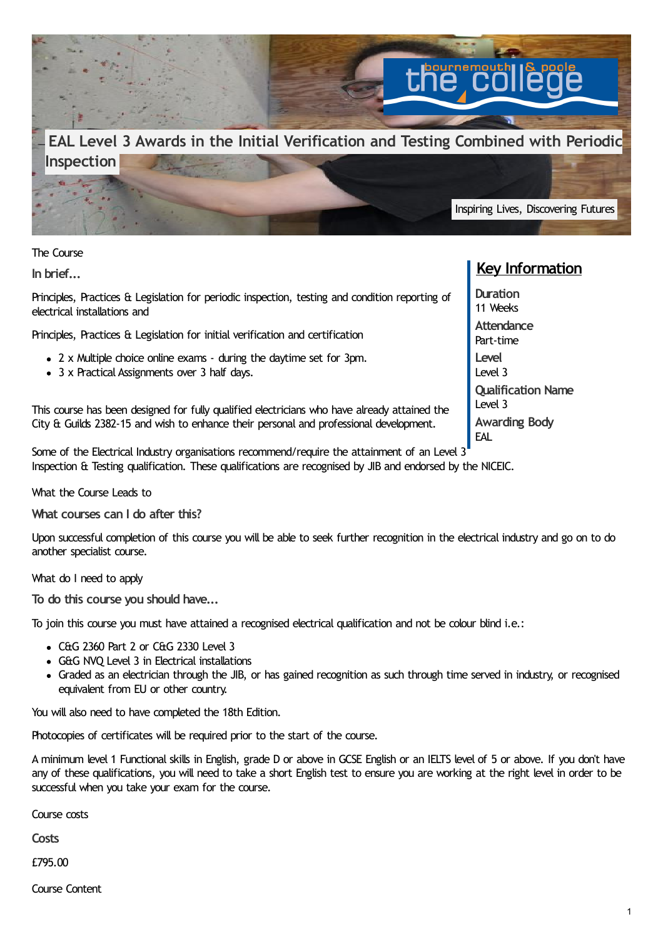

The Course

**In brief...**

Principles, Practices & Legislation for periodic inspection, testing and condition reporting of electrical installations and

Principles, Practices & Legislation for initial verification and certification

- 2 x Multiple choice online exams during the daytime set for 3pm.
- 3 x Practical Assignments over 3 half days.

This course has been designed for fully qualified electricians who have already attained the City & Guilds 2382-15 and wish to enhance their personal and professional development.

Some of the Electrical Industry organisations recommend/require the attainment of an Level 3 Inspection & Testing qualification. These qualifications are recognised by JIB and endorsed by the NICEIC.

What the Course Leads to

**What courses can I do after this?**

Upon successful completion of this course you will be able to seek further recognition in the electrical industry and go on to do another specialist course.

What do I need to apply

**To do this course you should have...**

To join this course you must have attained a recognised electrical qualification and not be colour blind i.e.:

- $\bullet$  C&G 2360 Part 2 or C&G 2330 Level 3
- G&G NVO Level 3 in Electrical installations
- Graded as an electrician through the JIB, or has gained recognition as such through time served in industry, or recognised equivalent from EU or other country.

You will also need to have completed the 18th Edition.

Photocopies of certificates will be required prior to the start of the course.

A minimum level 1 Functional skills in English, grade D or above in GCSE English or an IELTS level of 5 or above. If you don't have any of these qualifications, you will need to take a short English test to ensure you are working at the right level in order to be successful when you take your exam for the course.

Course costs

**Costs**

£795.00

Course Content

## **Key Information**

**Duration** 11 Weeks **Attendance** Part-time **Level** Level 3 **Qualification Name** Level 3 **Awarding Body** EAL